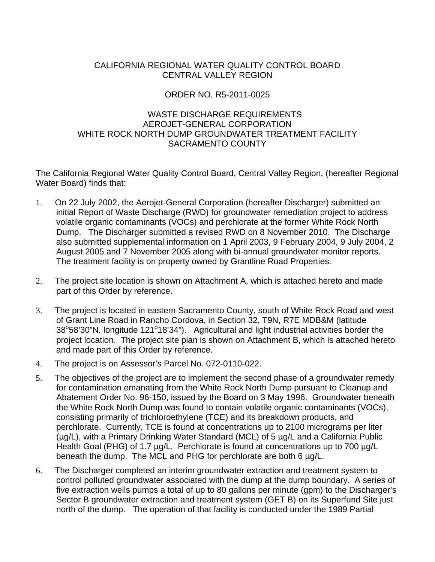## CALIFORNIA REGIONAL WATER QUALITY CONTROL BOARD CENTRAL VALLEY REGION

## ORDER NO. R5-2011-0025

### WASTE DISCHARGE REQUIREMENTS AEROJET-GENERAL CORPORATION WHITE ROCK NORTH DUMP GROUNDWATER TREATMENT FACILITY SACRAMENTO COUNTY

The California Regional Water Quality Control Board, Central Valley Region, (hereafter Regional Water Board) finds that:

- 1. On 22 July 2002, the Aerojet-General Corporation (hereafter Discharger) submitted an initial Report of Waste Discharge (RWD) for groundwater remediation project to address volatile organic contaminants (VOCs) and perchlorate at the former White Rock North Dump. The Discharger submitted a revised RWD on 8 November 2010. The Discharge also submitted supplemental information on 1 April 2003, 9 February 2004, 9 July 2004, 2 August 2005 and 7 November 2005 along with bi-annual groundwater monitor reports. The treatment facility is on property owned by Grantline Road Properties.
- 2. The project site location is shown on Attachment A, which is attached hereto and made part of this Order by reference.
- 3. The project is located in eastern Sacramento County, south of White Rock Road and west of Grant Line Road in Rancho Cordova, in Section 32, T9N, R7E MDB&M (latitude 38°58'30"N, longitude 121°18'34"). Agricultural and light industrial activities border the project location. The project site plan is shown on Attachment B, which is attached hereto and made part of this Order by reference.
- 4. The project is on Assessor's Parcel No. 072-0110-022.
- 5. The objectives of the project are to implement the second phase of a groundwater remedy for contamination emanating from the White Rock North Dump pursuant to Cleanup and Abatement Order No. 96-150, issued by the Board on 3 May 1996. Groundwater beneath the White Rock North Dump was found to contain volatile organic contaminants (VOCs), consisting primarily of trichloroethylene (TCE) and its breakdown products, and perchlorate. Currently, TCE is found at concentrations up to 2100 micrograms per liter (µg/L), with a Primary Drinking Water Standard (MCL) of 5 µg/L and a California Public Health Goal (PHG) of 1.7 µg/L. Perchlorate is found at concentrations up to 700 µg/L beneath the dump. The MCL and PHG for perchlorate are both 6 µg/L.
- 6. The Discharger completed an interim groundwater extraction and treatment system to control polluted groundwater associated with the dump at the dump boundary. A series of five extraction wells pumps a total of up to 80 gallons per minute (gpm) to the Discharger's Sector B groundwater extraction and treatment system (GET B) on its Superfund Site just north of the dump. The operation of that facility is conducted under the 1989 Partial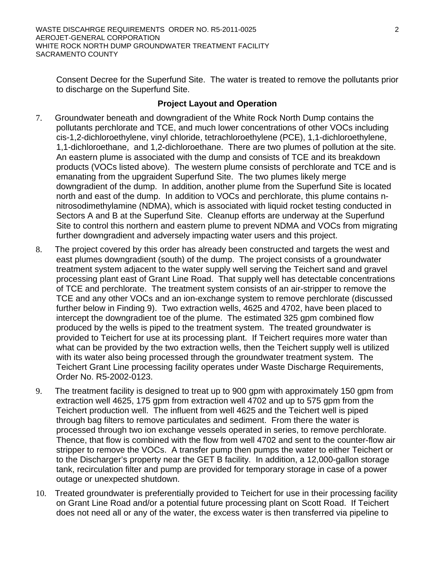Consent Decree for the Superfund Site. The water is treated to remove the pollutants prior to discharge on the Superfund Site.

#### **Project Layout and Operation**

- 7. Groundwater beneath and downgradient of the White Rock North Dump contains the pollutants perchlorate and TCE, and much lower concentrations of other VOCs including cis-1,2-dichloroethylene, vinyl chloride, tetrachloroethylene (PCE), 1,1-dichloroethylene, 1,1-dichloroethane, and 1,2-dichloroethane. There are two plumes of pollution at the site. An eastern plume is associated with the dump and consists of TCE and its breakdown products (VOCs listed above). The western plume consists of perchlorate and TCE and is emanating from the upgraident Superfund Site. The two plumes likely merge downgradient of the dump. In addition, another plume from the Superfund Site is located north and east of the dump. In addition to VOCs and perchlorate, this plume contains nnitrosodimethylamine (NDMA), which is associated with liquid rocket testing conducted in Sectors A and B at the Superfund Site. Cleanup efforts are underway at the Superfund Site to control this northern and eastern plume to prevent NDMA and VOCs from migrating further downgradient and adversely impacting water users and this project.
- 8. The project covered by this order has already been constructed and targets the west and east plumes downgradient (south) of the dump. The project consists of a groundwater treatment system adjacent to the water supply well serving the Teichert sand and gravel processing plant east of Grant Line Road. That supply well has detectable concentrations of TCE and perchlorate. The treatment system consists of an air-stripper to remove the TCE and any other VOCs and an ion-exchange system to remove perchlorate (discussed further below in Finding 9). Two extraction wells, 4625 and 4702, have been placed to intercept the downgradient toe of the plume. The estimated 325 gpm combined flow produced by the wells is piped to the treatment system. The treated groundwater is provided to Teichert for use at its processing plant. If Teichert requires more water than what can be provided by the two extraction wells, then the Teichert supply well is utilized with its water also being processed through the groundwater treatment system. The Teichert Grant Line processing facility operates under Waste Discharge Requirements, Order No. R5-2002-0123.
- 9. The treatment facility is designed to treat up to 900 gpm with approximately 150 gpm from extraction well 4625, 175 gpm from extraction well 4702 and up to 575 gpm from the Teichert production well. The influent from well 4625 and the Teichert well is piped through bag filters to remove particulates and sediment. From there the water is processed through two ion exchange vessels operated in series, to remove perchlorate. Thence, that flow is combined with the flow from well 4702 and sent to the counter-flow air stripper to remove the VOCs. A transfer pump then pumps the water to either Teichert or to the Discharger's property near the GET B facility. In addition, a 12,000-gallon storage tank, recirculation filter and pump are provided for temporary storage in case of a power outage or unexpected shutdown.
- 10. Treated groundwater is preferentially provided to Teichert for use in their processing facility on Grant Line Road and/or a potential future processing plant on Scott Road. If Teichert does not need all or any of the water, the excess water is then transferred via pipeline to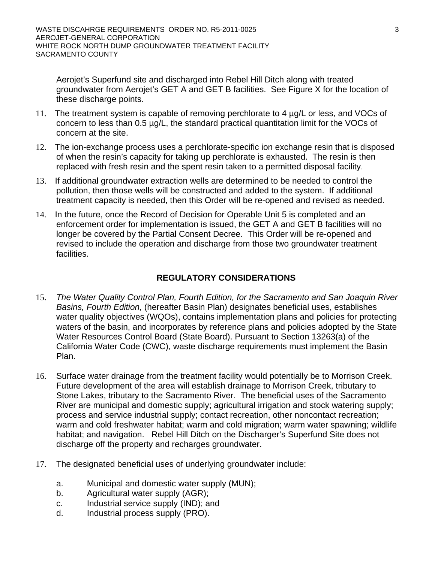Aerojet's Superfund site and discharged into Rebel Hill Ditch along with treated groundwater from Aerojet's GET A and GET B facilities. See Figure X for the location of these discharge points.

- 11. The treatment system is capable of removing perchlorate to 4 µg/L or less, and VOCs of concern to less than 0.5 µg/L, the standard practical quantitation limit for the VOCs of concern at the site.
- 12. The ion-exchange process uses a perchlorate-specific ion exchange resin that is disposed of when the resin's capacity for taking up perchlorate is exhausted. The resin is then replaced with fresh resin and the spent resin taken to a permitted disposal facility.
- 13. If additional groundwater extraction wells are determined to be needed to control the pollution, then those wells will be constructed and added to the system. If additional treatment capacity is needed, then this Order will be re-opened and revised as needed.
- 14. In the future, once the Record of Decision for Operable Unit 5 is completed and an enforcement order for implementation is issued, the GET A and GET B facilities will no longer be covered by the Partial Consent Decree. This Order will be re-opened and revised to include the operation and discharge from those two groundwater treatment facilities.

# **REGULATORY CONSIDERATIONS**

- 15. *The Water Quality Control Plan, Fourth Edition, for the Sacramento and San Joaquin River Basins, Fourth Edition,* (hereafter Basin Plan) designates beneficial uses, establishes water quality objectives (WQOs), contains implementation plans and policies for protecting waters of the basin, and incorporates by reference plans and policies adopted by the State Water Resources Control Board (State Board). Pursuant to Section 13263(a) of the California Water Code (CWC), waste discharge requirements must implement the Basin Plan.
- 16. Surface water drainage from the treatment facility would potentially be to Morrison Creek. Future development of the area will establish drainage to Morrison Creek, tributary to Stone Lakes, tributary to the Sacramento River. The beneficial uses of the Sacramento River are municipal and domestic supply; agricultural irrigation and stock watering supply; process and service industrial supply; contact recreation, other noncontact recreation; warm and cold freshwater habitat; warm and cold migration; warm water spawning; wildlife habitat; and navigation. Rebel Hill Ditch on the Discharger's Superfund Site does not discharge off the property and recharges groundwater.
- 17. The designated beneficial uses of underlying groundwater include:
	- a. Municipal and domestic water supply (MUN);
	- b. Agricultural water supply (AGR);
	- c. Industrial service supply (IND); and
	- d. Industrial process supply (PRO).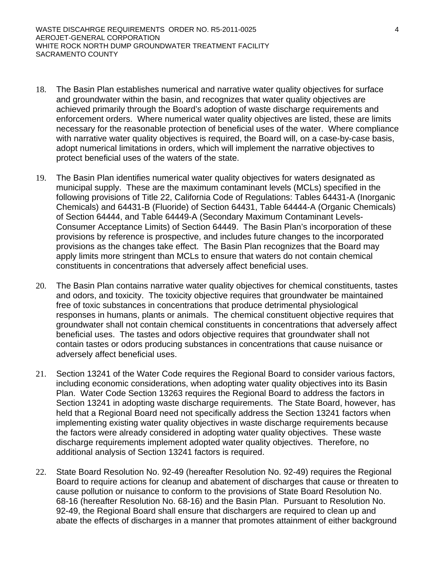- 18. The Basin Plan establishes numerical and narrative water quality objectives for surface and groundwater within the basin, and recognizes that water quality objectives are achieved primarily through the Board's adoption of waste discharge requirements and enforcement orders. Where numerical water quality objectives are listed, these are limits necessary for the reasonable protection of beneficial uses of the water. Where compliance with narrative water quality objectives is required, the Board will, on a case-by-case basis, adopt numerical limitations in orders, which will implement the narrative objectives to protect beneficial uses of the waters of the state.
- 19. The Basin Plan identifies numerical water quality objectives for waters designated as municipal supply. These are the maximum contaminant levels (MCLs) specified in the following provisions of Title 22, California Code of Regulations: Tables 64431-A (Inorganic Chemicals) and 64431-B (Fluoride) of Section 64431, Table 64444-A (Organic Chemicals) of Section 64444, and Table 64449-A (Secondary Maximum Contaminant Levels-Consumer Acceptance Limits) of Section 64449. The Basin Plan's incorporation of these provisions by reference is prospective, and includes future changes to the incorporated provisions as the changes take effect. The Basin Plan recognizes that the Board may apply limits more stringent than MCLs to ensure that waters do not contain chemical constituents in concentrations that adversely affect beneficial uses.
- 20. The Basin Plan contains narrative water quality objectives for chemical constituents, tastes and odors, and toxicity. The toxicity objective requires that groundwater be maintained free of toxic substances in concentrations that produce detrimental physiological responses in humans, plants or animals. The chemical constituent objective requires that groundwater shall not contain chemical constituents in concentrations that adversely affect beneficial uses. The tastes and odors objective requires that groundwater shall not contain tastes or odors producing substances in concentrations that cause nuisance or adversely affect beneficial uses.
- 21. Section 13241 of the Water Code requires the Regional Board to consider various factors, including economic considerations, when adopting water quality objectives into its Basin Plan. Water Code Section 13263 requires the Regional Board to address the factors in Section 13241 in adopting waste discharge requirements. The State Board, however, has held that a Regional Board need not specifically address the Section 13241 factors when implementing existing water quality objectives in waste discharge requirements because the factors were already considered in adopting water quality objectives. These waste discharge requirements implement adopted water quality objectives. Therefore, no additional analysis of Section 13241 factors is required.
- 22. State Board Resolution No. 92-49 (hereafter Resolution No. 92-49) requires the Regional Board to require actions for cleanup and abatement of discharges that cause or threaten to cause pollution or nuisance to conform to the provisions of State Board Resolution No. 68-16 (hereafter Resolution No. 68-16) and the Basin Plan. Pursuant to Resolution No. 92-49, the Regional Board shall ensure that dischargers are required to clean up and abate the effects of discharges in a manner that promotes attainment of either background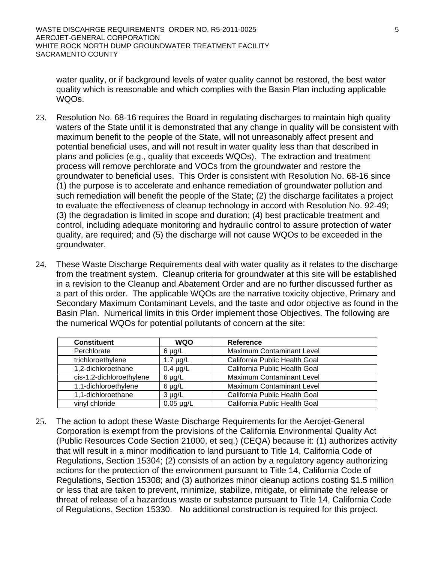water quality, or if background levels of water quality cannot be restored, the best water quality which is reasonable and which complies with the Basin Plan including applicable WQOs.

- 23. Resolution No. 68-16 requires the Board in regulating discharges to maintain high quality waters of the State until it is demonstrated that any change in quality will be consistent with maximum benefit to the people of the State, will not unreasonably affect present and potential beneficial uses, and will not result in water quality less than that described in plans and policies (e.g., quality that exceeds WQOs). The extraction and treatment process will remove perchlorate and VOCs from the groundwater and restore the groundwater to beneficial uses. This Order is consistent with Resolution No. 68-16 since (1) the purpose is to accelerate and enhance remediation of groundwater pollution and such remediation will benefit the people of the State; (2) the discharge facilitates a project to evaluate the effectiveness of cleanup technology in accord with Resolution No. 92-49; (3) the degradation is limited in scope and duration; (4) best practicable treatment and control, including adequate monitoring and hydraulic control to assure protection of water quality, are required; and (5) the discharge will not cause WQOs to be exceeded in the groundwater.
- 24. These Waste Discharge Requirements deal with water quality as it relates to the discharge from the treatment system. Cleanup criteria for groundwater at this site will be established in a revision to the Cleanup and Abatement Order and are no further discussed further as a part of this order. The applicable WQOs are the narrative toxicity objective, Primary and Secondary Maximum Contaminant Levels, and the taste and odor objective as found in the Basin Plan. Numerical limits in this Order implement those Objectives. The following are the numerical WQOs for potential pollutants of concern at the site:

| <b>Constituent</b>       | <b>WQO</b>     | Reference                        |
|--------------------------|----------------|----------------------------------|
| Perchlorate              | $6 \mu g/L$    | <b>Maximum Contaminant Level</b> |
| trichloroethylene        | $1.7 \mu g/L$  | California Public Health Goal    |
| 1,2-dichloroethane       | $0.4 \mu g/L$  | California Public Health Goal    |
| cis-1,2-dichloroethylene | $6 \mu g/L$    | <b>Maximum Contaminant Level</b> |
| 1,1-dichloroethylene     | $6 \mu g/L$    | <b>Maximum Contaminant Level</b> |
| 1,1-dichloroethane       | $3 \mu g/L$    | California Public Health Goal    |
| vinyl chloride           | $0.05 \mu g/L$ | California Public Health Goal    |

25. The action to adopt these Waste Discharge Requirements for the Aerojet-General Corporation is exempt from the provisions of the California Environmental Quality Act (Public Resources Code Section 21000, et seq.) (CEQA) because it: (1) authorizes activity that will result in a minor modification to land pursuant to Title 14, California Code of Regulations, Section 15304; (2) consists of an action by a regulatory agency authorizing actions for the protection of the environment pursuant to Title 14, California Code of Regulations, Section 15308; and (3) authorizes minor cleanup actions costing \$1.5 million or less that are taken to prevent, minimize, stabilize, mitigate, or eliminate the release or threat of release of a hazardous waste or substance pursuant to Title 14, California Code of Regulations, Section 15330. No additional construction is required for this project.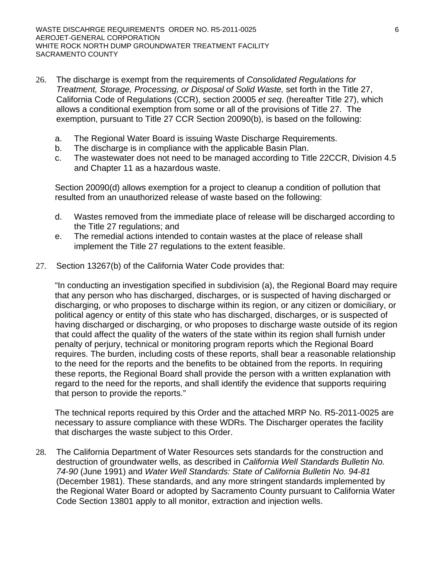- 26. The discharge is exempt from the requirements of *Consolidated Regulations for Treatment, Storage, Processing, or Disposal of Solid Waste,* set forth in the Title 27, California Code of Regulations (CCR), section 20005 *et seq*. (hereafter Title 27), which allows a conditional exemption from some or all of the provisions of Title 27. The exemption, pursuant to Title 27 CCR Section 20090(b), is based on the following:
	- a. The Regional Water Board is issuing Waste Discharge Requirements.
	- b. The discharge is in compliance with the applicable Basin Plan.
	- c. The wastewater does not need to be managed according to Title 22CCR, Division 4.5 and Chapter 11 as a hazardous waste.

 Section 20090(d) allows exemption for a project to cleanup a condition of pollution that resulted from an unauthorized release of waste based on the following:

- d. Wastes removed from the immediate place of release will be discharged according to the Title 27 regulations; and
- e. The remedial actions intended to contain wastes at the place of release shall implement the Title 27 regulations to the extent feasible.
- 27. Section 13267(b) of the California Water Code provides that:

"In conducting an investigation specified in subdivision (a), the Regional Board may require that any person who has discharged, discharges, or is suspected of having discharged or discharging, or who proposes to discharge within its region, or any citizen or domiciliary, or political agency or entity of this state who has discharged, discharges, or is suspected of having discharged or discharging, or who proposes to discharge waste outside of its region that could affect the quality of the waters of the state within its region shall furnish under penalty of perjury, technical or monitoring program reports which the Regional Board requires. The burden, including costs of these reports, shall bear a reasonable relationship to the need for the reports and the benefits to be obtained from the reports. In requiring these reports, the Regional Board shall provide the person with a written explanation with regard to the need for the reports, and shall identify the evidence that supports requiring that person to provide the reports."

The technical reports required by this Order and the attached MRP No. R5-2011-0025 are necessary to assure compliance with these WDRs. The Discharger operates the facility that discharges the waste subject to this Order.

28. The California Department of Water Resources sets standards for the construction and destruction of groundwater wells, as described in *California Well Standards Bulletin No. 74-90* (June 1991) and *Water Well Standards: State of California Bulletin No. 94-81* (December 1981). These standards, and any more stringent standards implemented by the Regional Water Board or adopted by Sacramento County pursuant to California Water Code Section 13801 apply to all monitor, extraction and injection wells.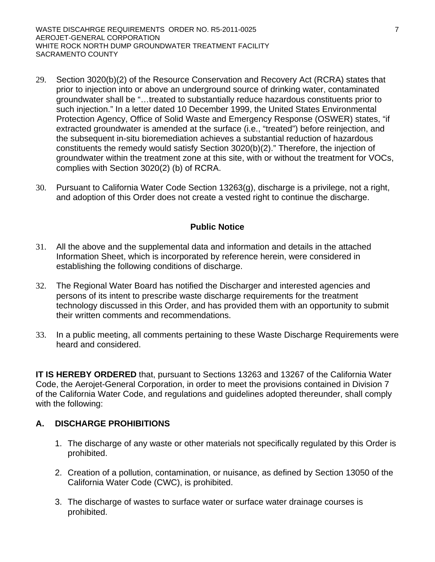- 29. Section 3020(b)(2) of the Resource Conservation and Recovery Act (RCRA) states that prior to injection into or above an underground source of drinking water, contaminated groundwater shall be "…treated to substantially reduce hazardous constituents prior to such injection." In a letter dated 10 December 1999, the United States Environmental Protection Agency, Office of Solid Waste and Emergency Response (OSWER) states, "if extracted groundwater is amended at the surface (i.e., "treated") before reinjection, and the subsequent in-situ bioremediation achieves a substantial reduction of hazardous constituents the remedy would satisfy Section 3020(b)(2)." Therefore, the injection of groundwater within the treatment zone at this site, with or without the treatment for VOCs, complies with Section 3020(2) (b) of RCRA.
- 30. Pursuant to California Water Code Section 13263(g), discharge is a privilege, not a right, and adoption of this Order does not create a vested right to continue the discharge.

#### **Public Notice**

- 31. All the above and the supplemental data and information and details in the attached Information Sheet, which is incorporated by reference herein, were considered in establishing the following conditions of discharge.
- 32. The Regional Water Board has notified the Discharger and interested agencies and persons of its intent to prescribe waste discharge requirements for the treatment technology discussed in this Order, and has provided them with an opportunity to submit their written comments and recommendations.
- 33. In a public meeting, all comments pertaining to these Waste Discharge Requirements were heard and considered.

**IT IS HEREBY ORDERED** that, pursuant to Sections 13263 and 13267 of the California Water Code, the Aerojet-General Corporation, in order to meet the provisions contained in Division 7 of the California Water Code, and regulations and guidelines adopted thereunder, shall comply with the following:

#### **A. DISCHARGE PROHIBITIONS**

- 1. The discharge of any waste or other materials not specifically regulated by this Order is prohibited.
- 2. Creation of a pollution, contamination, or nuisance, as defined by Section 13050 of the California Water Code (CWC), is prohibited.
- 3. The discharge of wastes to surface water or surface water drainage courses is prohibited.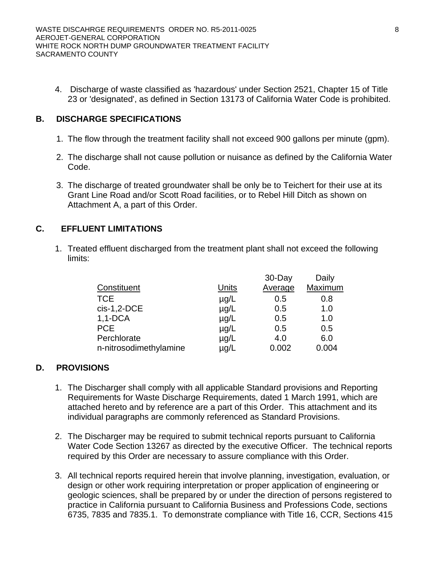4. Discharge of waste classified as 'hazardous' under Section 2521, Chapter 15 of Title 23 or 'designated', as defined in Section 13173 of California Water Code is prohibited.

#### **B. DISCHARGE SPECIFICATIONS**

- 1. The flow through the treatment facility shall not exceed 900 gallons per minute (gpm).
- 2. The discharge shall not cause pollution or nuisance as defined by the California Water Code.
- 3. The discharge of treated groundwater shall be only be to Teichert for their use at its Grant Line Road and/or Scott Road facilities, or to Rebel Hill Ditch as shown on Attachment A, a part of this Order.

# **C. EFFLUENT LIMITATIONS**

1. Treated effluent discharged from the treatment plant shall not exceed the following limits:

| Constituent            | <u>Units</u> | 30-Day<br>Average | Daily<br>Maximum |
|------------------------|--------------|-------------------|------------------|
|                        |              |                   |                  |
| <b>TCE</b>             | $\mu$ g/L    | 0.5               | 0.8              |
| $cis-1,2-DCE$          | $\mu$ g/L    | 0.5               | 1.0              |
| $1,1$ -DCA             | $\mu$ g/L    | 0.5               | 1.0              |
| <b>PCE</b>             | $\mu$ g/L    | 0.5               | 0.5              |
| Perchlorate            | $\mu$ g/L    | 4.0               | 6.0              |
| n-nitrosodimethylamine | µg/L         | 0.002             | 0.004            |

#### **D. PROVISIONS**

- 1. The Discharger shall comply with all applicable Standard provisions and Reporting Requirements for Waste Discharge Requirements, dated 1 March 1991, which are attached hereto and by reference are a part of this Order. This attachment and its individual paragraphs are commonly referenced as Standard Provisions.
- 2. The Discharger may be required to submit technical reports pursuant to California Water Code Section 13267 as directed by the executive Officer. The technical reports required by this Order are necessary to assure compliance with this Order.
- 3. All technical reports required herein that involve planning, investigation, evaluation, or design or other work requiring interpretation or proper application of engineering or geologic sciences, shall be prepared by or under the direction of persons registered to practice in California pursuant to California Business and Professions Code, sections 6735, 7835 and 7835.1. To demonstrate compliance with Title 16, CCR, Sections 415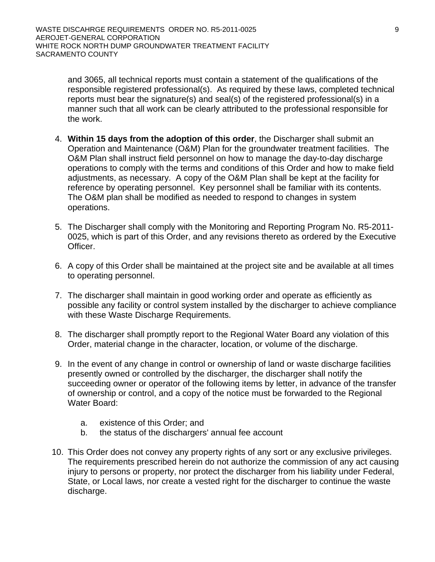and 3065, all technical reports must contain a statement of the qualifications of the responsible registered professional(s). As required by these laws, completed technical reports must bear the signature(s) and seal(s) of the registered professional(s) in a manner such that all work can be clearly attributed to the professional responsible for the work.

- 4. **Within 15 days from the adoption of this order**, the Discharger shall submit an Operation and Maintenance (O&M) Plan for the groundwater treatment facilities. The O&M Plan shall instruct field personnel on how to manage the day-to-day discharge operations to comply with the terms and conditions of this Order and how to make field adjustments, as necessary. A copy of the O&M Plan shall be kept at the facility for reference by operating personnel. Key personnel shall be familiar with its contents. The O&M plan shall be modified as needed to respond to changes in system operations.
- 5. The Discharger shall comply with the Monitoring and Reporting Program No. R5-2011- 0025, which is part of this Order, and any revisions thereto as ordered by the Executive Officer.
- 6. A copy of this Order shall be maintained at the project site and be available at all times to operating personnel.
- 7. The discharger shall maintain in good working order and operate as efficiently as possible any facility or control system installed by the discharger to achieve compliance with these Waste Discharge Requirements.
- 8. The discharger shall promptly report to the Regional Water Board any violation of this Order, material change in the character, location, or volume of the discharge.
- 9. In the event of any change in control or ownership of land or waste discharge facilities presently owned or controlled by the discharger, the discharger shall notify the succeeding owner or operator of the following items by letter, in advance of the transfer of ownership or control, and a copy of the notice must be forwarded to the Regional Water Board:
	- a. existence of this Order; and
	- b. the status of the dischargers' annual fee account
- 10. This Order does not convey any property rights of any sort or any exclusive privileges. The requirements prescribed herein do not authorize the commission of any act causing injury to persons or property, nor protect the discharger from his liability under Federal, State, or Local laws, nor create a vested right for the discharger to continue the waste discharge.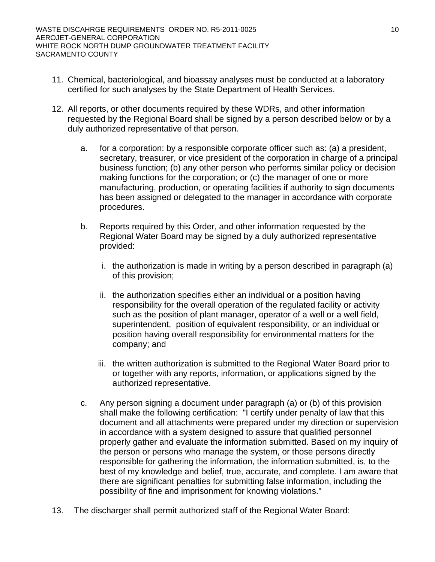- 11. Chemical, bacteriological, and bioassay analyses must be conducted at a laboratory certified for such analyses by the State Department of Health Services.
- 12. All reports, or other documents required by these WDRs, and other information requested by the Regional Board shall be signed by a person described below or by a duly authorized representative of that person.
	- a. for a corporation: by a responsible corporate officer such as: (a) a president, secretary, treasurer, or vice president of the corporation in charge of a principal business function; (b) any other person who performs similar policy or decision making functions for the corporation; or (c) the manager of one or more manufacturing, production, or operating facilities if authority to sign documents has been assigned or delegated to the manager in accordance with corporate procedures.
	- b. Reports required by this Order, and other information requested by the Regional Water Board may be signed by a duly authorized representative provided:
		- i. the authorization is made in writing by a person described in paragraph (a) of this provision;
		- ii. the authorization specifies either an individual or a position having responsibility for the overall operation of the regulated facility or activity such as the position of plant manager, operator of a well or a well field, superintendent, position of equivalent responsibility, or an individual or position having overall responsibility for environmental matters for the company; and
		- iii. the written authorization is submitted to the Regional Water Board prior to or together with any reports, information, or applications signed by the authorized representative.
	- c. Any person signing a document under paragraph (a) or (b) of this provision shall make the following certification: "I certify under penalty of law that this document and all attachments were prepared under my direction or supervision in accordance with a system designed to assure that qualified personnel properly gather and evaluate the information submitted. Based on my inquiry of the person or persons who manage the system, or those persons directly responsible for gathering the information, the information submitted, is, to the best of my knowledge and belief, true, accurate, and complete. I am aware that there are significant penalties for submitting false information, including the possibility of fine and imprisonment for knowing violations."
- 13. The discharger shall permit authorized staff of the Regional Water Board: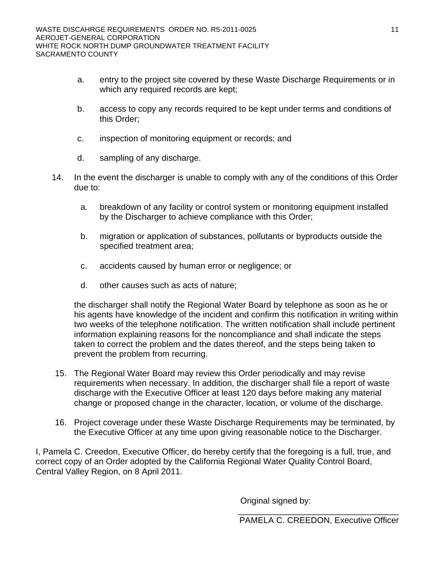- a. entry to the project site covered by these Waste Discharge Requirements or in which any required records are kept;
- b. access to copy any records required to be kept under terms and conditions of this Order;
- c. inspection of monitoring equipment or records; and
- d. sampling of any discharge.
- 14. In the event the discharger is unable to comply with any of the conditions of this Order due to:
	- a. breakdown of any facility or control system or monitoring equipment installed by the Discharger to achieve compliance with this Order;
	- b. migration or application of substances, pollutants or byproducts outside the specified treatment area;
	- c. accidents caused by human error or negligence; or
	- d. other causes such as acts of nature;

the discharger shall notify the Regional Water Board by telephone as soon as he or his agents have knowledge of the incident and confirm this notification in writing within two weeks of the telephone notification. The written notification shall include pertinent information explaining reasons for the noncompliance and shall indicate the steps taken to correct the problem and the dates thereof, and the steps being taken to prevent the problem from recurring.

- 15. The Regional Water Board may review this Order periodically and may revise requirements when necessary. In addition, the discharger shall file a report of waste discharge with the Executive Officer at least 120 days before making any material change or proposed change in the character, location, or volume of the discharge.
- 16. Project coverage under these Waste Discharge Requirements may be terminated, by the Executive Officer at any time upon giving reasonable notice to the Discharger.

I, Pamela C. Creedon, Executive Officer, do hereby certify that the foregoing is a full, true, and correct copy of an Order adopted by the California Regional Water Quality Control Board, Central Valley Region, on 8 April 2011.

Original signed by: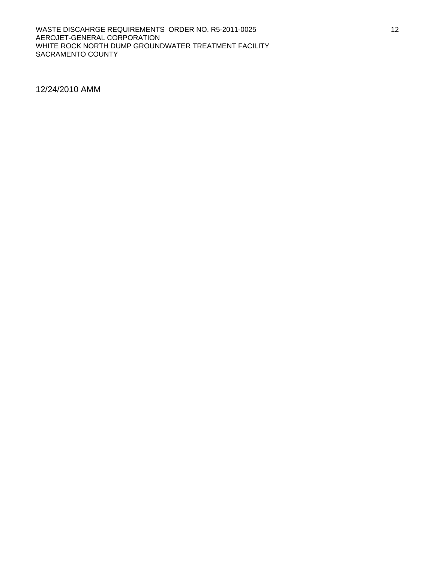#### WASTE DISCAHRGE REQUIREMENTS ORDER NO. R5-2011-0025 AEROJET-GENERAL CORPORATION WHITE ROCK NORTH DUMP GROUNDWATER TREATMENT FACILITY SACRAMENTO COUNTY

12/24/2010 AMM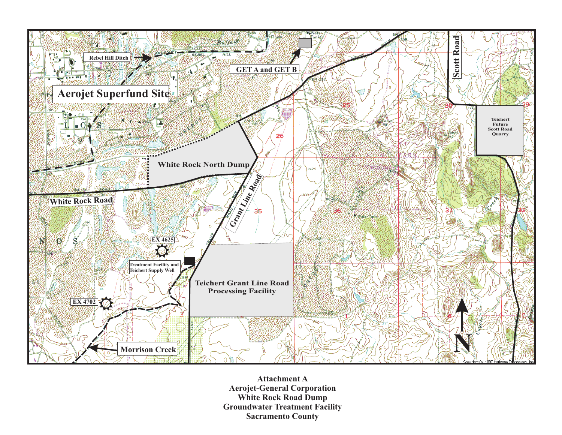

**Attachment A Aerojet-General Corporation White Rock Road Dump Groundwater Treatment Facility Sacramento County**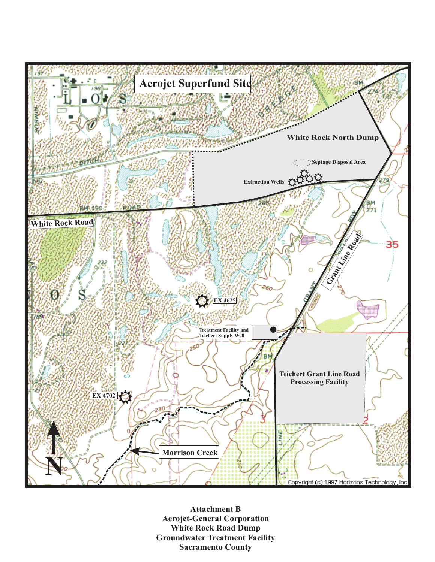

**Attachment B Aerojet-General Corporation White Rock Road Dump Groundwater Treatment Facility Sacramento County**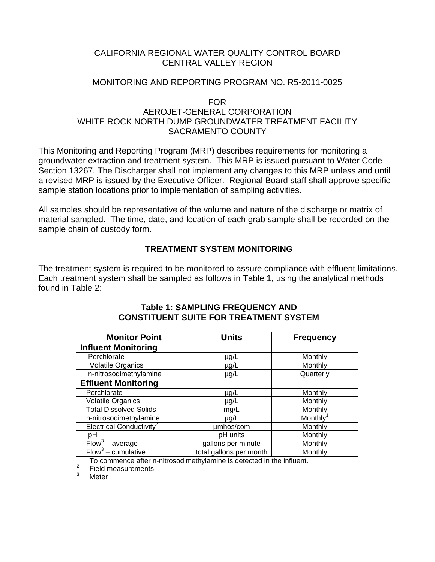## CALIFORNIA REGIONAL WATER QUALITY CONTROL BOARD CENTRAL VALLEY REGION

#### MONITORING AND REPORTING PROGRAM NO. R5-2011-0025

FOR

# AEROJET-GENERAL CORPORATION WHITE ROCK NORTH DUMP GROUNDWATER TREATMENT FACILITY SACRAMENTO COUNTY

This Monitoring and Reporting Program (MRP) describes requirements for monitoring a groundwater extraction and treatment system. This MRP is issued pursuant to Water Code Section 13267. The Discharger shall not implement any changes to this MRP unless and until a revised MRP is issued by the Executive Officer. Regional Board staff shall approve specific sample station locations prior to implementation of sampling activities.

All samples should be representative of the volume and nature of the discharge or matrix of material sampled. The time, date, and location of each grab sample shall be recorded on the sample chain of custody form.

# **TREATMENT SYSTEM MONITORING**

The treatment system is required to be monitored to assure compliance with effluent limitations. Each treatment system shall be sampled as follows in Table 1, using the analytical methods found in Table 2:

| <b>Monitor Point</b>                 | <b>Units</b>            | <b>Frequency</b> |
|--------------------------------------|-------------------------|------------------|
| <b>Influent Monitoring</b>           |                         |                  |
| Perchlorate                          | $\mu$ g/L               | Monthly          |
| <b>Volatile Organics</b>             | µg/L                    | Monthly          |
| n-nitrosodimethylamine               | µg/L                    | Quarterly        |
| <b>Effluent Monitoring</b>           |                         |                  |
| Perchlorate                          | $\mu$ g/L               | Monthly          |
| <b>Volatile Organics</b>             | µg/L                    | Monthly          |
| <b>Total Dissolved Solids</b>        | mg/L                    | Monthly          |
| n-nitrosodimethylamine               | $\mu$ g/L               | Monthly          |
| Electrical Conductivity <sup>2</sup> | umhos/com               | Monthly          |
| pH                                   | pH units                | Monthly          |
| Flow <sup>3</sup><br>- average       | gallons per minute      | Monthly          |
| Flow <sup>3</sup> – cumulative       | total gallons per month | Monthly          |

#### **Table 1: SAMPLING FREQUENCY AND CONSTITUENT SUITE FOR TREATMENT SYSTEM**

<sup>1</sup> To commence after n-nitrosodimethylamine is detected in the influent.

Field measurements.

3 Meter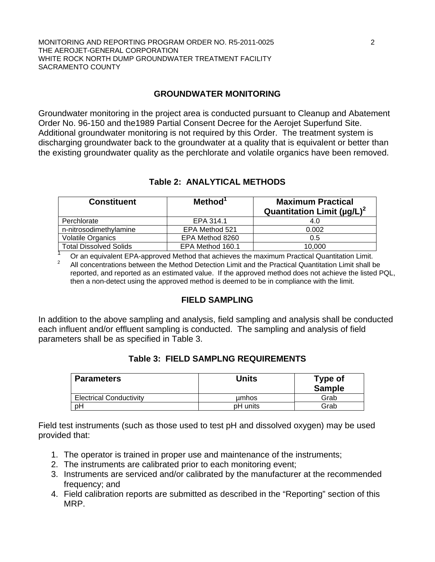## **GROUNDWATER MONITORING**

Groundwater monitoring in the project area is conducted pursuant to Cleanup and Abatement Order No. 96-150 and the1989 Partial Consent Decree for the Aerojet Superfund Site. Additional groundwater monitoring is not required by this Order. The treatment system is discharging groundwater back to the groundwater at a quality that is equivalent or better than the existing groundwater quality as the perchlorate and volatile organics have been removed.

## **Table 2: ANALYTICAL METHODS**

| <b>Constituent</b>            | Method <sup>1</sup> | <b>Maximum Practical</b><br>Quantitation Limit ( $\mu$ g/L) <sup>2</sup> |
|-------------------------------|---------------------|--------------------------------------------------------------------------|
| Perchlorate                   | EPA 314.1           | 4.0                                                                      |
| n-nitrosodimethylamine        | EPA Method 521      | 0.002                                                                    |
| <b>Volatile Organics</b>      | EPA Method 8260     | 0.5                                                                      |
| <b>Total Dissolved Solids</b> | EPA Method 160.1    | 10.000                                                                   |

1 Or an equivalent EPA-approved Method that achieves the maximum Practical Quantitation Limit. 2 All concentrations between the Method Detection Limit and the Practical Quantitation Limit shall be reported, and reported as an estimated value. If the approved method does not achieve the listed PQL, then a non-detect using the approved method is deemed to be in compliance with the limit.

#### **FIELD SAMPLING**

In addition to the above sampling and analysis, field sampling and analysis shall be conducted each influent and/or effluent sampling is conducted. The sampling and analysis of field parameters shall be as specified in Table 3.

|  |  | <b>Table 3: FIELD SAMPLNG REQUIREMENTS</b> |  |
|--|--|--------------------------------------------|--|
|--|--|--------------------------------------------|--|

| Parameters                     | Units    | Type of<br><b>Sample</b> |
|--------------------------------|----------|--------------------------|
| <b>Electrical Conductivity</b> | umhos    | Grab                     |
| pΗ                             | pH units | Grab                     |

Field test instruments (such as those used to test pH and dissolved oxygen) may be used provided that:

- 1. The operator is trained in proper use and maintenance of the instruments;
- 2. The instruments are calibrated prior to each monitoring event;
- 3. Instruments are serviced and/or calibrated by the manufacturer at the recommended frequency; and
- 4. Field calibration reports are submitted as described in the "Reporting" section of this MRP.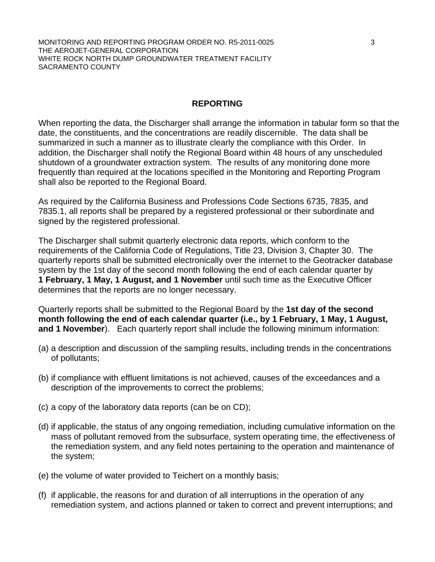#### **REPORTING**

When reporting the data, the Discharger shall arrange the information in tabular form so that the date, the constituents, and the concentrations are readily discernible. The data shall be summarized in such a manner as to illustrate clearly the compliance with this Order. In addition, the Discharger shall notify the Regional Board within 48 hours of any unscheduled shutdown of a groundwater extraction system. The results of any monitoring done more frequently than required at the locations specified in the Monitoring and Reporting Program shall also be reported to the Regional Board.

As required by the California Business and Professions Code Sections 6735, 7835, and 7835.1, all reports shall be prepared by a registered professional or their subordinate and signed by the registered professional.

The Discharger shall submit quarterly electronic data reports, which conform to the requirements of the California Code of Regulations, Title 23, Division 3, Chapter 30. The quarterly reports shall be submitted electronically over the internet to the Geotracker database system by the 1st day of the second month following the end of each calendar quarter by **1 February, 1 May, 1 August, and 1 November** until such time as the Executive Officer determines that the reports are no longer necessary.

Quarterly reports shall be submitted to the Regional Board by the **1st day of the second month following the end of each calendar quarter (i.e., by 1 February, 1 May, 1 August, and 1 November**). Each quarterly report shall include the following minimum information:

- (a) a description and discussion of the sampling results, including trends in the concentrations of pollutants;
- (b) if compliance with effluent limitations is not achieved, causes of the exceedances and a description of the improvements to correct the problems;
- (c) a copy of the laboratory data reports (can be on CD);
- (d) if applicable, the status of any ongoing remediation, including cumulative information on the mass of pollutant removed from the subsurface, system operating time, the effectiveness of the remediation system, and any field notes pertaining to the operation and maintenance of the system;
- (e) the volume of water provided to Teichert on a monthly basis;
- (f) if applicable, the reasons for and duration of all interruptions in the operation of any remediation system, and actions planned or taken to correct and prevent interruptions; and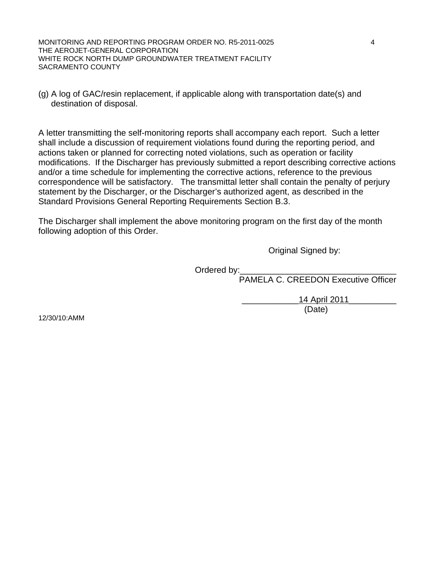MONITORING AND REPORTING PROGRAM ORDER NO. R5-2011-0025 4 THE AEROJET-GENERAL CORPORATION WHITE ROCK NORTH DUMP GROUNDWATER TREATMENT FACILITY SACRAMENTO COUNTY

(g) A log of GAC/resin replacement, if applicable along with transportation date(s) and destination of disposal.

A letter transmitting the self-monitoring reports shall accompany each report. Such a letter shall include a discussion of requirement violations found during the reporting period, and actions taken or planned for correcting noted violations, such as operation or facility modifications. If the Discharger has previously submitted a report describing corrective actions and/or a time schedule for implementing the corrective actions, reference to the previous correspondence will be satisfactory. The transmittal letter shall contain the penalty of perjury statement by the Discharger, or the Discharger's authorized agent, as described in the Standard Provisions General Reporting Requirements Section B.3.

The Discharger shall implement the above monitoring program on the first day of the month following adoption of this Order.

Original Signed by:

Ordered by:

PAMELA C. CREEDON Executive Officer

 \_\_\_\_\_\_\_\_\_\_\_\_14 April 2011\_\_\_\_\_\_\_\_\_\_ (Date)

12/30/10:AMM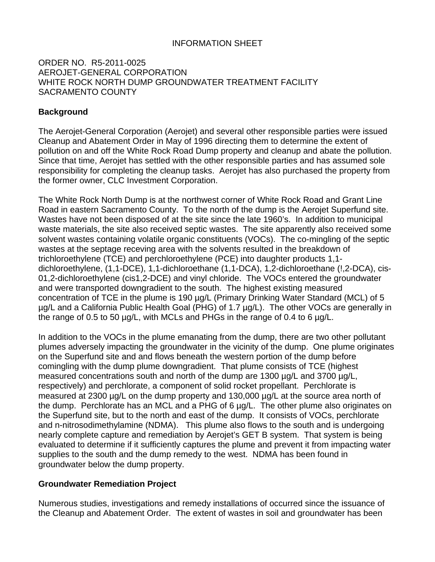### INFORMATION SHEET

#### ORDER NO. R5-2011-0025 AEROJET-GENERAL CORPORATION WHITE ROCK NORTH DUMP GROUNDWATER TREATMENT FACILITY SACRAMENTO COUNTY

#### **Background**

The Aerojet-General Corporation (Aerojet) and several other responsible parties were issued Cleanup and Abatement Order in May of 1996 directing them to determine the extent of pollution on and off the White Rock Road Dump property and cleanup and abate the pollution. Since that time, Aerojet has settled with the other responsible parties and has assumed sole responsibility for completing the cleanup tasks. Aerojet has also purchased the property from the former owner, CLC Investment Corporation.

The White Rock North Dump is at the northwest corner of White Rock Road and Grant Line Road in eastern Sacramento County. To the north of the dump is the Aerojet Superfund site. Wastes have not been disposed of at the site since the late 1960's. In addition to municipal waste materials, the site also received septic wastes. The site apparently also received some solvent wastes containing volatile organic constituents (VOCs). The co-mingling of the septic wastes at the septage receving area with the solvents resulted in the breakdown of trichloroethylene (TCE) and perchloroethylene (PCE) into daughter products 1,1 dichloroethylene, (1,1-DCE), 1,1-dichloroethane (1,1-DCA), 1,2-dichloroethane (!,2-DCA), cis-01,2-dichloroethylene (cis1,2-DCE) and vinyl chloride. The VOCs entered the groundwater and were transported downgradient to the south. The highest existing measured concentration of TCE in the plume is 190 µg/L (Primary Drinking Water Standard (MCL) of 5 µg/L and a California Public Health Goal (PHG) of 1.7 µg/L). The other VOCs are generally in the range of 0.5 to 50 µg/L, with MCLs and PHGs in the range of 0.4 to 6 µg/L.

In addition to the VOCs in the plume emanating from the dump, there are two other pollutant plumes adversely impacting the groundwater in the vicinity of the dump. One plume originates on the Superfund site and and flows beneath the western portion of the dump before comingling with the dump plume downgradient. That plume consists of TCE (highest measured concentrations south and north of the dump are 1300 ug/L and 3700 ug/L, respectively) and perchlorate, a component of solid rocket propellant. Perchlorate is measured at 2300 µg/L on the dump property and 130,000 µg/L at the source area north of the dump. Perchlorate has an MCL and a PHG of 6 µg/L. The other plume also originates on the Superfund site, but to the north and east of the dump. It consists of VOCs, perchlorate and n-nitrosodimethylamine (NDMA). This plume also flows to the south and is undergoing nearly complete capture and remediation by Aerojet's GET B system. That system is being evaluated to determine if it sufficiently captures the plume and prevent it from impacting water supplies to the south and the dump remedy to the west. NDMA has been found in groundwater below the dump property.

#### **Groundwater Remediation Project**

Numerous studies, investigations and remedy installations of occurred since the issuance of the Cleanup and Abatement Order. The extent of wastes in soil and groundwater has been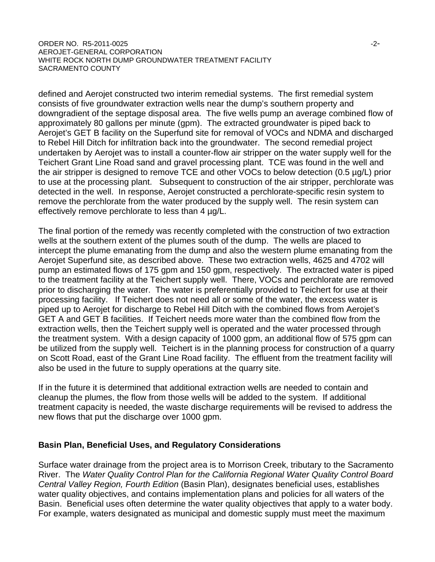#### ORDER NO. R5-2011-0025 -2-AEROJET-GENERAL CORPORATION WHITE ROCK NORTH DUMP GROUNDWATER TREATMENT FACILITY SACRAMENTO COUNTY

defined and Aerojet constructed two interim remedial systems. The first remedial system consists of five groundwater extraction wells near the dump's southern property and downgradient of the septage disposal area. The five wells pump an average combined flow of approximately 80 gallons per minute (gpm). The extracted groundwater is piped back to Aerojet's GET B facility on the Superfund site for removal of VOCs and NDMA and discharged to Rebel Hill Ditch for infiltration back into the groundwater. The second remedial project undertaken by Aerojet was to install a counter-flow air stripper on the water supply well for the Teichert Grant Line Road sand and gravel processing plant. TCE was found in the well and the air stripper is designed to remove TCE and other VOCs to below detection (0.5 µg/L) prior to use at the processing plant. Subsequent to construction of the air stripper, perchlorate was detected in the well. In response, Aerojet constructed a perchlorate-specific resin system to remove the perchlorate from the water produced by the supply well. The resin system can effectively remove perchlorate to less than 4  $\mu q/L$ .

The final portion of the remedy was recently completed with the construction of two extraction wells at the southern extent of the plumes south of the dump. The wells are placed to intercept the plume emanating from the dump and also the western plume emanating from the Aerojet Superfund site, as described above. These two extraction wells, 4625 and 4702 will pump an estimated flows of 175 gpm and 150 gpm, respectively. The extracted water is piped to the treatment facility at the Teichert supply well. There, VOCs and perchlorate are removed prior to discharging the water. The water is preferentially provided to Teichert for use at their processing facility. If Teichert does not need all or some of the water, the excess water is piped up to Aerojet for discharge to Rebel Hill Ditch with the combined flows from Aerojet's GET A and GET B facilities. If Teichert needs more water than the combined flow from the extraction wells, then the Teichert supply well is operated and the water processed through the treatment system. With a design capacity of 1000 gpm, an additional flow of 575 gpm can be utilized from the supply well. Teichert is in the planning process for construction of a quarry on Scott Road, east of the Grant Line Road facility. The effluent from the treatment facility will also be used in the future to supply operations at the quarry site.

If in the future it is determined that additional extraction wells are needed to contain and cleanup the plumes, the flow from those wells will be added to the system. If additional treatment capacity is needed, the waste discharge requirements will be revised to address the new flows that put the discharge over 1000 gpm.

#### **Basin Plan, Beneficial Uses, and Regulatory Considerations**

Surface water drainage from the project area is to Morrison Creek, tributary to the Sacramento River. The *Water Quality Control Plan for the California Regional Water Quality Control Board Central Valley Region, Fourth Edition* (Basin Plan), designates beneficial uses, establishes water quality objectives, and contains implementation plans and policies for all waters of the Basin. Beneficial uses often determine the water quality objectives that apply to a water body. For example, waters designated as municipal and domestic supply must meet the maximum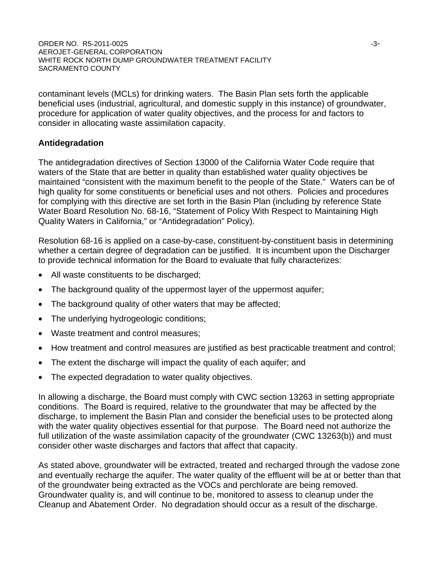ORDER NO. R5-2011-0025 -3- AEROJET-GENERAL CORPORATION WHITE ROCK NORTH DUMP GROUNDWATER TREATMENT FACILITY SACRAMENTO COUNTY

contaminant levels (MCLs) for drinking waters. The Basin Plan sets forth the applicable beneficial uses (industrial, agricultural, and domestic supply in this instance) of groundwater, procedure for application of water quality objectives, and the process for and factors to consider in allocating waste assimilation capacity.

#### **Antidegradation**

The antidegradation directives of Section 13000 of the California Water Code require that waters of the State that are better in quality than established water quality objectives be maintained "consistent with the maximum benefit to the people of the State." Waters can be of high quality for some constituents or beneficial uses and not others. Policies and procedures for complying with this directive are set forth in the Basin Plan (including by reference State Water Board Resolution No. 68-16, "Statement of Policy With Respect to Maintaining High Quality Waters in California," or "Antidegradation" Policy).

Resolution 68-16 is applied on a case-by-case, constituent-by-constituent basis in determining whether a certain degree of degradation can be justified. It is incumbent upon the Discharger to provide technical information for the Board to evaluate that fully characterizes:

- All waste constituents to be discharged;
- The background quality of the uppermost layer of the uppermost aquifer;
- The background quality of other waters that may be affected;
- The underlying hydrogeologic conditions;
- Waste treatment and control measures;
- How treatment and control measures are justified as best practicable treatment and control;
- The extent the discharge will impact the quality of each aquifer; and
- The expected degradation to water quality objectives.

In allowing a discharge, the Board must comply with CWC section 13263 in setting appropriate conditions. The Board is required, relative to the groundwater that may be affected by the discharge, to implement the Basin Plan and consider the beneficial uses to be protected along with the water quality objectives essential for that purpose. The Board need not authorize the full utilization of the waste assimilation capacity of the groundwater (CWC 13263(b)) and must consider other waste discharges and factors that affect that capacity.

As stated above, groundwater will be extracted, treated and recharged through the vadose zone and eventually recharge the aquifer. The water quality of the effluent will be at or better than that of the groundwater being extracted as the VOCs and perchlorate are being removed. Groundwater quality is, and will continue to be, monitored to assess to cleanup under the Cleanup and Abatement Order. No degradation should occur as a result of the discharge.